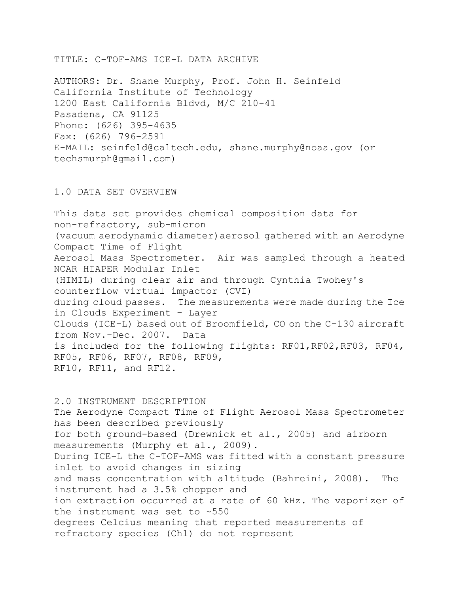TITLE: C-TOF-AMS ICE-L DATA ARCHIVE

AUTHORS: Dr. Shane Murphy, Prof. John H. Seinfeld California Institute of Technology 1200 East California Bldvd, M/C 210-41 Pasadena, CA 91125 Phone: (626) 395-4635 Fax: (626) 796-2591 E-MAIL: seinfeld@caltech.edu, shane.murphy@noaa.gov (or techsmurph@gmail.com)

## 1.0 DATA SET OVERVIEW

This data set provides chemical composition data for non-refractory, sub-micron (vacuum aerodynamic diameter)aerosol gathered with an Aerodyne Compact Time of Flight Aerosol Mass Spectrometer. Air was sampled through a heated NCAR HIAPER Modular Inlet (HIMIL) during clear air and through Cynthia Twohey's counterflow virtual impactor (CVI) during cloud passes. The measurements were made during the Ice in Clouds Experiment - Layer Clouds (ICE-L) based out of Broomfield, CO on the C-130 aircraft from Nov.-Dec. 2007. Data is included for the following flights: RF01,RF02,RF03, RF04, RF05, RF06, RF07, RF08, RF09, RF10, RF11, and RF12.

2.0 INSTRUMENT DESCRIPTION The Aerodyne Compact Time of Flight Aerosol Mass Spectrometer has been described previously for both ground-based (Drewnick et al., 2005) and airborn measurements (Murphy et al., 2009). During ICE-L the C-TOF-AMS was fitted with a constant pressure inlet to avoid changes in sizing and mass concentration with altitude (Bahreini, 2008). The instrument had a 3.5% chopper and ion extraction occurred at a rate of 60 kHz. The vaporizer of the instrument was set to ~550 degrees Celcius meaning that reported measurements of refractory species (Chl) do not represent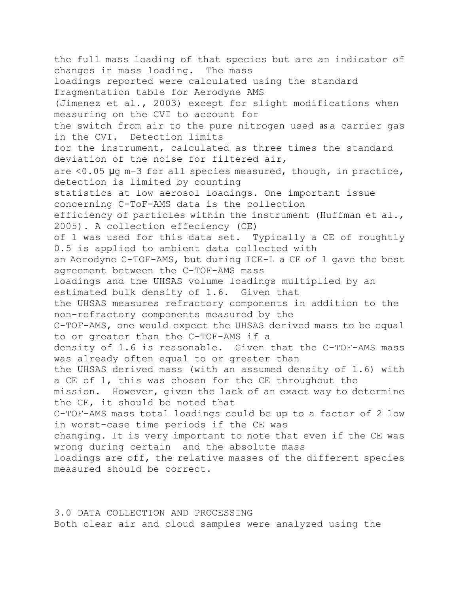the full mass loading of that species but are an indicator of changes in mass loading. The mass loadings reported were calculated using the standard fragmentation table for Aerodyne AMS (Jimenez et al., 2003) except for slight modifications when measuring on the CVI to account for the switch from air to the pure nitrogen used as a carrier gas in the CVI. Detection limits for the instrument, calculated as three times the standard deviation of the noise for filtered air, are <0.05 μg m−3 for all species measured, though, in practice, detection is limited by counting statistics at low aerosol loadings. One important issue concerning C-ToF-AMS data is the collection efficiency of particles within the instrument (Huffman et al., 2005). A collection effeciency (CE) of 1 was used for this data set. Typically a CE of roughtly 0.5 is applied to ambient data collected with an Aerodyne C-TOF-AMS, but during ICE-L a CE of 1 gave the best agreement between the C-TOF-AMS mass loadings and the UHSAS volume loadings multiplied by an estimated bulk density of 1.6. Given that the UHSAS measures refractory components in addition to the non-refractory components measured by the C-TOF-AMS, one would expect the UHSAS derived mass to be equal to or greater than the C-TOF-AMS if a density of 1.6 is reasonable. Given that the C-TOF-AMS mass was already often equal to or greater than the UHSAS derived mass (with an assumed density of 1.6) with a CE of 1, this was chosen for the CE throughout the mission. However, given the lack of an exact way to determine the CE, it should be noted that C-TOF-AMS mass total loadings could be up to a factor of 2 low in worst-case time periods if the CE was changing. It is very important to note that even if the CE was wrong during certain and the absolute mass loadings are off, the relative masses of the different species measured should be correct.

3.0 DATA COLLECTION AND PROCESSING Both clear air and cloud samples were analyzed using the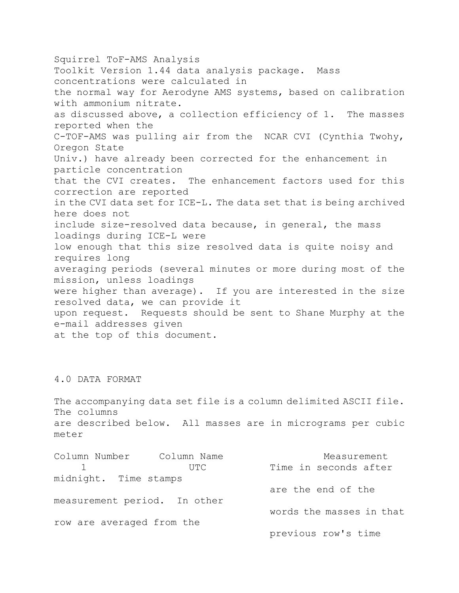Squirrel ToF-AMS Analysis Toolkit Version 1.44 data analysis package. Mass concentrations were calculated in the normal way for Aerodyne AMS systems, based on calibration with ammonium nitrate. as discussed above, a collection efficiency of 1. The masses reported when the C-TOF-AMS was pulling air from the NCAR CVI (Cynthia Twohy, Oregon State Univ.) have already been corrected for the enhancement in particle concentration that the CVI creates. The enhancement factors used for this correction are reported in the CVI data set for ICE-L. The data set that is being archived here does not include size-resolved data because, in general, the mass loadings during ICE-L were low enough that this size resolved data is quite noisy and requires long averaging periods (several minutes or more during most of the mission, unless loadings were higher than average). If you are interested in the size resolved data, we can provide it upon request. Requests should be sent to Shane Murphy at the e-mail addresses given at the top of this document.

## 4.0 DATA FORMAT

The accompanying data set file is a column delimited ASCII file. The columns are described below. All masses are in micrograms per cubic meter

| Column Number Column Name    |      | Measurement              |
|------------------------------|------|--------------------------|
|                              | UTC. | Time in seconds after    |
| midnight. Time stamps        |      |                          |
|                              |      | are the end of the       |
| measurement period. In other |      |                          |
|                              |      | words the masses in that |
| row are averaged from the    |      |                          |
|                              |      | previous row's time      |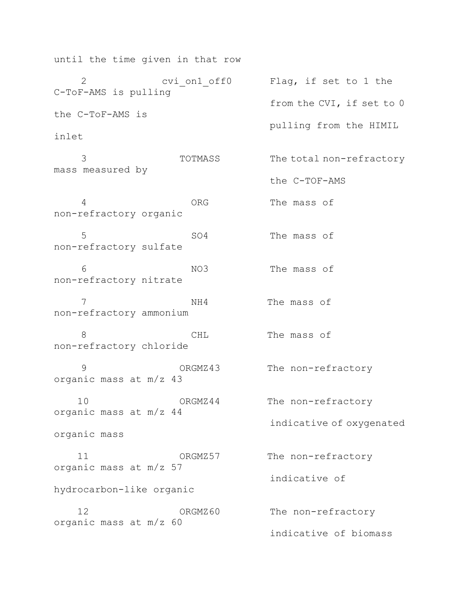until the time given in that row 2 cvi on1 off0 Flag, if set to 1 the C-ToF-AMS is pulling from the CVI, if set to 0 the C-ToF-AMS is pulling from the HIMIL inlet 3 TOTMASS The total non-refractory mass measured by the C-TOF-AMS 4 ORG The mass of non-refractory organic 5 SO4 The mass of non-refractory sulfate 6 NO3 The mass of non-refractory nitrate 7 NH4 The mass of non-refractory ammonium 8 CHL The mass of non-refractory chloride 9 ORGMZ43 The non-refractory organic mass at m/z 43 10 ORGMZ44 The non-refractory organic mass at m/z 44 indicative of oxygenated organic mass 11 ORGMZ57 The non-refractory organic mass at m/z 57 indicative of hydrocarbon-like organic 12 ORGMZ60 The non-refractory organic mass at m/z 60 indicative of biomass